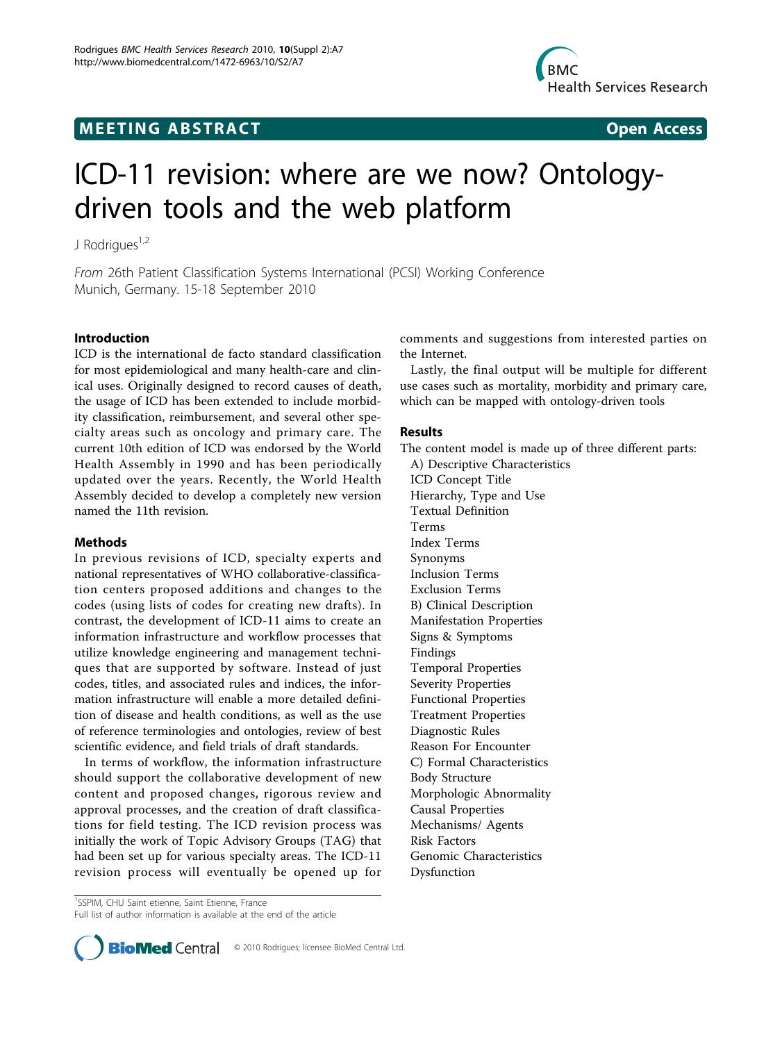## **MEETING ABSTRACT CONSUMING ABSTRACT**



# ICD-11 revision: where are we now? Ontologydriven tools and the web platform

J Rodrigues<sup>1,2</sup>

From 26th Patient Classification Systems International (PCSI) Working Conference Munich, Germany. 15-18 September 2010

### Introduction

ICD is the international de facto standard classification for most epidemiological and many health-care and clinical uses. Originally designed to record causes of death, the usage of ICD has been extended to include morbidity classification, reimbursement, and several other specialty areas such as oncology and primary care. The current 10th edition of ICD was endorsed by the World Health Assembly in 1990 and has been periodically updated over the years. Recently, the World Health Assembly decided to develop a completely new version named the 11th revision.

#### Methods

In previous revisions of ICD, specialty experts and national representatives of WHO collaborative-classification centers proposed additions and changes to the codes (using lists of codes for creating new drafts). In contrast, the development of ICD-11 aims to create an information infrastructure and workflow processes that utilize knowledge engineering and management techniques that are supported by software. Instead of just codes, titles, and associated rules and indices, the information infrastructure will enable a more detailed definition of disease and health conditions, as well as the use of reference terminologies and ontologies, review of best scientific evidence, and field trials of draft standards.

In terms of workflow, the information infrastructure should support the collaborative development of new content and proposed changes, rigorous review and approval processes, and the creation of draft classifications for field testing. The ICD revision process was initially the work of Topic Advisory Groups (TAG) that had been set up for various specialty areas. The ICD-11 revision process will eventually be opened up for comments and suggestions from interested parties on the Internet.

Lastly, the final output will be multiple for different use cases such as mortality, morbidity and primary care, which can be mapped with ontology-driven tools

#### Results

The content model is made up of three different parts:

A) Descriptive Characteristics ICD Concept Title Hierarchy, Type and Use Textual Definition Terms Index Terms Synonyms Inclusion Terms Exclusion Terms B) Clinical Description Manifestation Properties Signs & Symptoms Findings Temporal Properties Severity Properties Functional Properties Treatment Properties Diagnostic Rules Reason For Encounter C) Formal Characteristics Body Structure Morphologic Abnormality Causal Properties Mechanisms/ Agents Risk Factors Genomic Characteristics Dysfunction

<sup>&</sup>lt;sup>1</sup>SSPIM, CHU Saint etienne, Saint Etienne, France Full list of author information is available at the end of the article